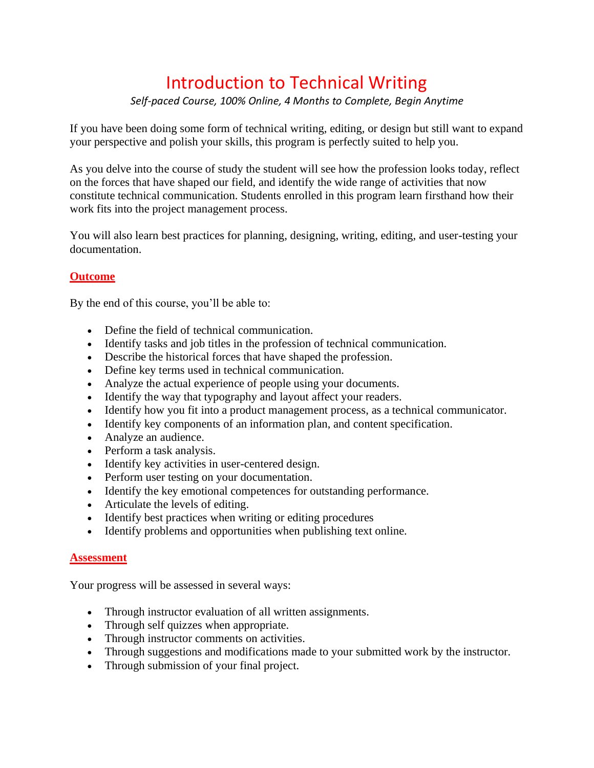# Introduction to Technical Writing

## *Self-paced Course, 100% Online, 4 Months to Complete, Begin Anytime*

If you have been doing some form of technical writing, editing, or design but still want to expand your perspective and polish your skills, this program is perfectly suited to help you.

As you delve into the course of study the student will see how the profession looks today, reflect on the forces that have shaped our field, and identify the wide range of activities that now constitute technical communication. Students enrolled in this program learn firsthand how their work fits into the project management process.

You will also learn best practices for planning, designing, writing, editing, and user-testing your documentation.

### **Outcome**

By the end of this course, you'll be able to:

- Define the field of technical communication.
- Identify tasks and job titles in the profession of technical communication.
- Describe the historical forces that have shaped the profession.
- Define key terms used in technical communication.
- Analyze the actual experience of people using your documents.
- Identify the way that typography and layout affect your readers.
- Identify how you fit into a product management process, as a technical communicator.
- Identify key components of an information plan, and content specification.
- Analyze an audience.
- Perform a task analysis.
- Identify key activities in user-centered design.
- Perform user testing on your documentation.
- Identify the key emotional competences for outstanding performance.
- Articulate the levels of editing.
- Identify best practices when writing or editing procedures
- Identify problems and opportunities when publishing text online.

#### **Assessment**

Your progress will be assessed in several ways:

- Through instructor evaluation of all written assignments.
- Through self quizzes when appropriate.
- Through instructor comments on activities.
- Through suggestions and modifications made to your submitted work by the instructor.
- Through submission of your final project.